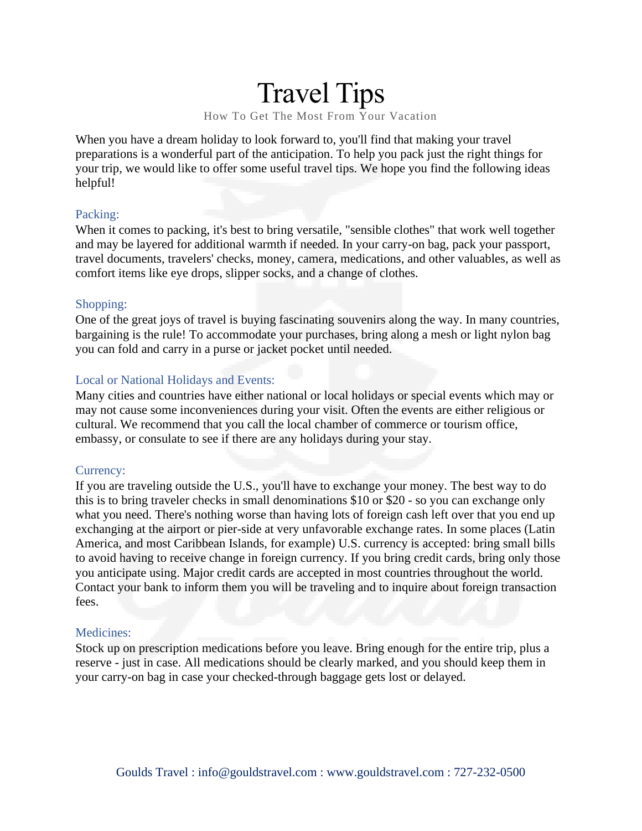# Travel Tips

How To Get The Most From Your Vacation

When you have a dream holiday to look forward to, you'll find that making your travel preparations is a wonderful part of the anticipation. To help you pack just the right things for your trip, we would like to offer some useful travel tips. We hope you find the following ideas helpful!

#### Packing:

When it comes to packing, it's best to bring versatile, "sensible clothes" that work well together and may be layered for additional warmth if needed. In your carry-on bag, pack your passport, travel documents, travelers' checks, money, camera, medications, and other valuables, as well as comfort items like eye drops, slipper socks, and a change of clothes.

#### Shopping:

One of the great joys of travel is buying fascinating souvenirs along the way. In many countries, bargaining is the rule! To accommodate your purchases, bring along a mesh or light nylon bag you can fold and carry in a purse or jacket pocket until needed.

#### Local or National Holidays and Events:

Many cities and countries have either national or local holidays or special events which may or may not cause some inconveniences during your visit. Often the events are either religious or cultural. We recommend that you call the local chamber of commerce or tourism office, embassy, or consulate to see if there are any holidays during your stay.

#### Currency:

If you are traveling outside the U.S., you'll have to exchange your money. The best way to do this is to bring traveler checks in small denominations \$10 or \$20 - so you can exchange only what you need. There's nothing worse than having lots of foreign cash left over that you end up exchanging at the airport or pier-side at very unfavorable exchange rates. In some places (Latin America, and most Caribbean Islands, for example) U.S. currency is accepted: bring small bills to avoid having to receive change in foreign currency. If you bring credit cards, bring only those you anticipate using. Major credit cards are accepted in most countries throughout the world. Contact your bank to inform them you will be traveling and to inquire about foreign transaction fees.

#### Medicines:

Stock up on prescription medications before you leave. Bring enough for the entire trip, plus a reserve - just in case. All medications should be clearly marked, and you should keep them in your carry-on bag in case your checked-through baggage gets lost or delayed.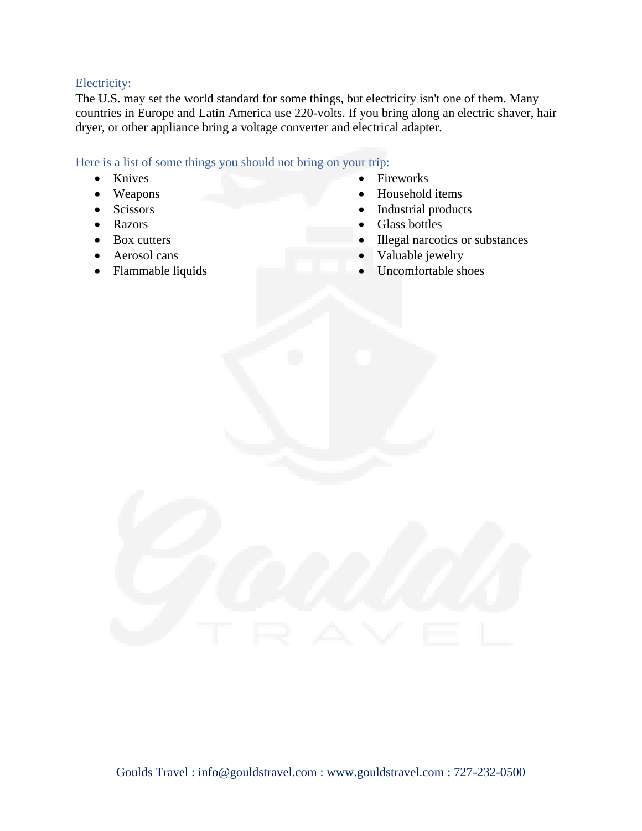#### Electricity:

The U.S. may set the world standard for some things, but electricity isn't one of them. Many countries in Europe and Latin America use 220-volts. If you bring along an electric shaver, hair dryer, or other appliance bring a voltage converter and electrical adapter.

#### Here is a list of some things you should not bring on your trip:

- Knives
- Weapons
- Scissors
- Razors
- Box cutters
- Aerosol cans
- Flammable liquids
- **Fireworks**
- Household items
- Industrial products
- Glass bottles
- Illegal narcotics or substances
- Valuable jewelry
- Uncomfortable shoes

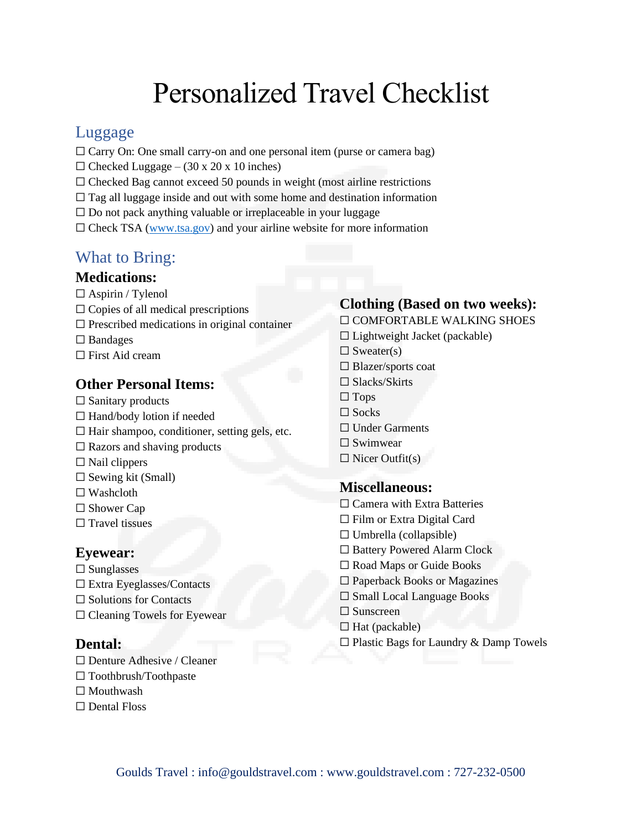# Personalized Travel Checklist

# Luggage

- $\Box$  Carry On: One small carry-on and one personal item (purse or camera bag)
- $\Box$  Checked Luggage (30 x 20 x 10 inches)
- $\Box$  Checked Bag cannot exceed 50 pounds in weight (most airline restrictions
- $\Box$  Tag all luggage inside and out with some home and destination information
- $\square$  Do not pack anything valuable or irreplaceable in your luggage
- $\Box$  Check TSA [\(www.tsa.gov\)](http://www.tsa.gov/) and your airline website for more information

# What to Bring:

#### **Medications:**

- □ Aspirin / Tylenol
- $\Box$  Copies of all medical prescriptions
- $\Box$  Prescribed medications in original container
- □ Bandages
- $\Box$  First Aid cream

## **Other Personal Items:**

- $\Box$  Sanitary products
- □ Hand/body lotion if needed
- $\Box$  Hair shampoo, conditioner, setting gels, etc.
- $\Box$  Razors and shaving products
- $\Box$  Nail clippers
- $\Box$  Sewing kit (Small)
- ☐ Washcloth
- □ Shower Cap
- $\Box$  Travel tissues

#### **Eyewear:**

- $\square$  Sunglasses
- ☐ Extra Eyeglasses/Contacts
- $\Box$  Solutions for Contacts
- ☐ Cleaning Towels for Eyewear

#### **Dental:**

- ☐ Denture Adhesive / Cleaner
- ☐ Toothbrush/Toothpaste
- □ Mouthwash
- ☐ Dental Floss

# **Clothing (Based on two weeks):**

☐ COMFORTABLE WALKING SHOES

- $\Box$  Lightweight Jacket (packable)
- $\Box$  Sweater(s)
- ☐ Blazer/sports coat
- □ Slacks/Skirts
- $\square$  Tops
- $\Box$  Socks
- □ Under Garments
- □ Swimwear
- $\Box$  Nicer Outfit(s)

#### **Miscellaneous:**

- □ Camera with Extra Batteries
- ☐ Film or Extra Digital Card
- $\Box$  Umbrella (collapsible)
- □ Battery Powered Alarm Clock
- □ Road Maps or Guide Books
- ☐ Paperback Books or Magazines
- ☐ Small Local Language Books
- □ Sunscreen
- $\Box$  Hat (packable)
- $\Box$  Plastic Bags for Laundry & Damp Towels